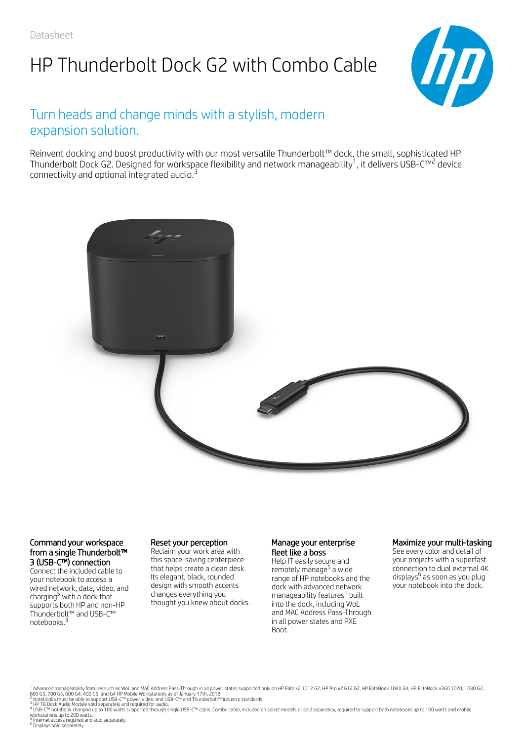# HP Thunderbolt Dock G2 with Combo Cable



### Turn heads and change minds with a stylish, modern expansion solution.

Reinvent docking and boost productivity with our most versatile Thunderbolt™ dock, the small, sophisticated HP Thunderbolt Dock G2. Designed for workspace flexibility and network manageability<sup>1</sup>, it delivers USB-C™<sup>2</sup> device connectivity and optional integrated audio.<sup>3</sup>



#### Command your workspace from a single Thunderbolt™ 3 (USB-C™) connection

Connect the included cable to your notebook to access a wired network, data, video, and charging<sup>5</sup> with a dock that supports both HP and non-HP Thunderbolt™ and USB-C™ notebooks. 3

#### Reset your perception

Reclaim your work area with this space-saving centerpiece that helps create a clean desk. Its elegant, black, rounded design with smooth accents changes everything you thought you knew about docks.

#### Manage your enterprise fleet like a boss

Help IT easily secure and remotely manage<sup>5</sup> a wide range of HP notebooks and the dock with advanced network manageability features<sup>1</sup> built into the dock, including WoL and MAC Address Pass-Through in all power states and PXE Boot.

#### Maximize your multi-tasking

See every color and detail of your projects with a superfast connection to dual external 4K displays<sup>6</sup> as soon as you plug your notebook into the dock.

<sup>1</sup> Advanced manageability features such as WoL and MAC Address Pass–Through in all power states supported only on HP Elite x2 1012 G2, HP Pro x2 612 G2, HP EliteBook 1040 G4, HP EliteBook x360 1020, 1030 G2,<br>800 G5, 700 1

2 3 4

5 6